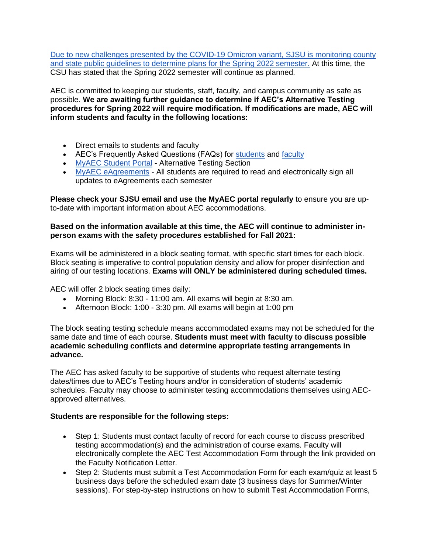[Due to new challenges presented by the COVID-19 Omicron variant, SJSU is monitoring county](https://www.sjsu.edu/healthadvisories/resources/campus-messages/archive/122221-csu-booster/index.php)  [and state public guidelines to determine plans for the Spring 2022 semester.](https://www.sjsu.edu/healthadvisories/resources/campus-messages/archive/122221-csu-booster/index.php) At this time, the CSU has stated that the Spring 2022 semester will continue as planned.

AEC is committed to keeping our students, staff, faculty, and campus community as safe as possible. **We are awaiting further guidance to determine if AEC's Alternative Testing procedures for Spring 2022 will require modification. If modifications are made, AEC will inform students and faculty in the following locations:**

- Direct emails to students and faculty
- AEC's Frequently Asked Questions (FAQs) for [students](https://www.sjsu.edu/aec/about/faq/current-students.php#currentstdtestaccoms) and [faculty](https://www.sjsu.edu/aec/about/faq/faculty-faq.php#facultytestaccom)
- [MyAEC Student Portal](https://hood.accessiblelearning.com/sjsu/) Alternative Testing Section
- [MyAEC eAgreements](https://www.youtube.com/watch?v=Id5DdVb4q8U&t=9s) All students are required to read and electronically sign all updates to eAgreements each semester

**Please check your SJSU email and use the MyAEC portal regularly** to ensure you are upto-date with important information about AEC accommodations.

## **Based on the information available at this time, the AEC will continue to administer inperson exams with the safety procedures established for Fall 2021:**

Exams will be administered in a block seating format, with specific start times for each block. Block seating is imperative to control population density and allow for proper disinfection and airing of our testing locations. **Exams will ONLY be administered during scheduled times.**

AEC will offer 2 block seating times daily:

- Morning Block: 8:30 11:00 am. All exams will begin at 8:30 am.
- Afternoon Block: 1:00 3:30 pm. All exams will begin at 1:00 pm

The block seating testing schedule means accommodated exams may not be scheduled for the same date and time of each course. **Students must meet with faculty to discuss possible academic scheduling conflicts and determine appropriate testing arrangements in advance.**

The AEC has asked faculty to be supportive of students who request alternate testing dates/times due to AEC's Testing hours and/or in consideration of students' academic schedules. Faculty may choose to administer testing accommodations themselves using AECapproved alternatives.

## **Students are responsible for the following steps:**

- Step 1: Students must contact faculty of record for each course to discuss prescribed testing accommodation(s) and the administration of course exams. Faculty will electronically complete the AEC Test Accommodation Form through the link provided on the Faculty Notification Letter.
- Step 2: Students must submit a Test Accommodation Form for each exam/quiz at least 5 business days before the scheduled exam date (3 business days for Summer/Winter sessions). For step-by-step instructions on how to submit Test Accommodation Forms,